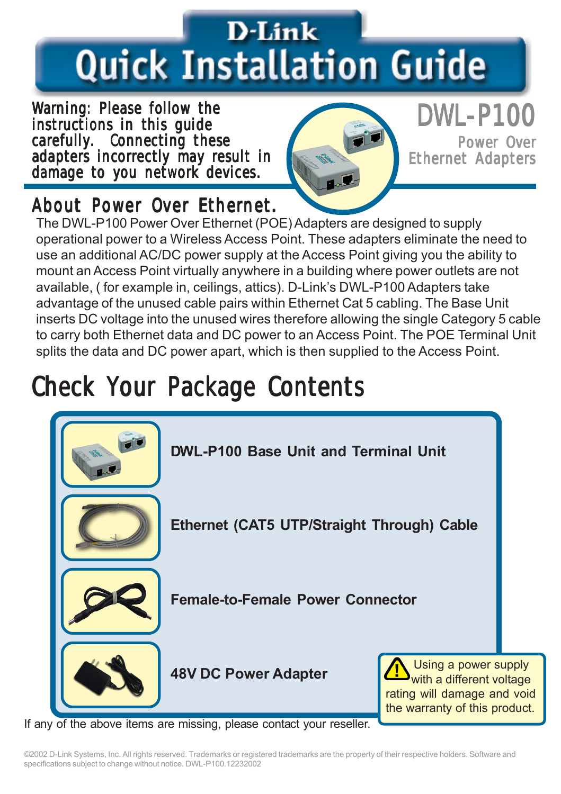# D-Link **Quick Installation Guide**

Warning: Please follow the instructions in this guide carefully. Connecting these adapters incorrectly may result in damage to you network devices.



### DWL-P100

Power Over **Ethernet Adapters** 

### About Power Over Ethernet.

The DWL-P100 Power Over Ethernet (POE) Adapters are designed to supply operational power to a Wireless Access Point. These adapters eliminate the need to use an additional AC/DC power supply at the Access Point giving you the ability to mount an Access Point virtually anywhere in a building where power outlets are not available, ( for example in, ceilings, attics). D-Link's DWL-P100 Adapters take advantage of the unused cable pairs within Ethernet Cat 5 cabling. The Base Unit inserts DC voltage into the unused wires therefore allowing the single Category 5 cable to carry both Ethernet data and DC power to an Access Point. The POE Terminal Unit splits the data and DC power apart, which is then supplied to the Access Point.

## Check Your Package Contents



If any of the above items are missing, please contact your reseller.

©2002 D-Link Systems, Inc. All rights reserved. Trademarks or registered trademarks are the property of their respective holders. Software and specifications subject to change without notice. DWL-P100.12232002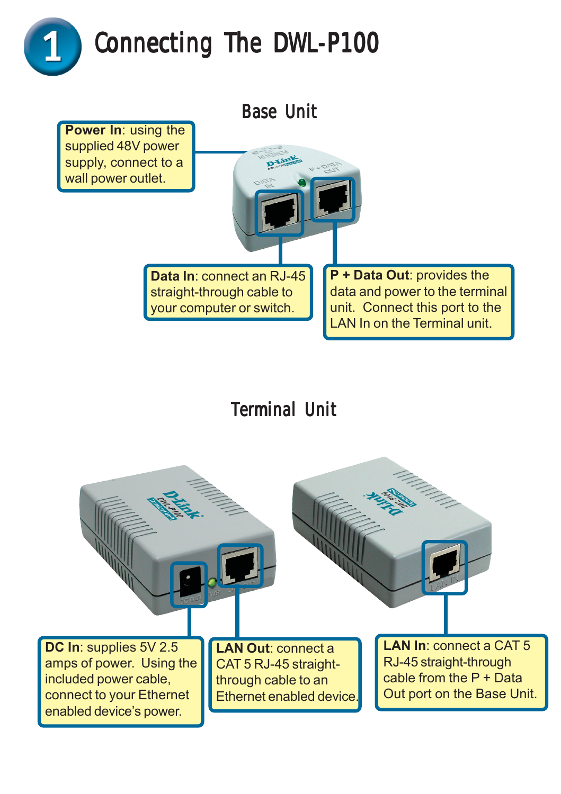



### **Terminal Unit**

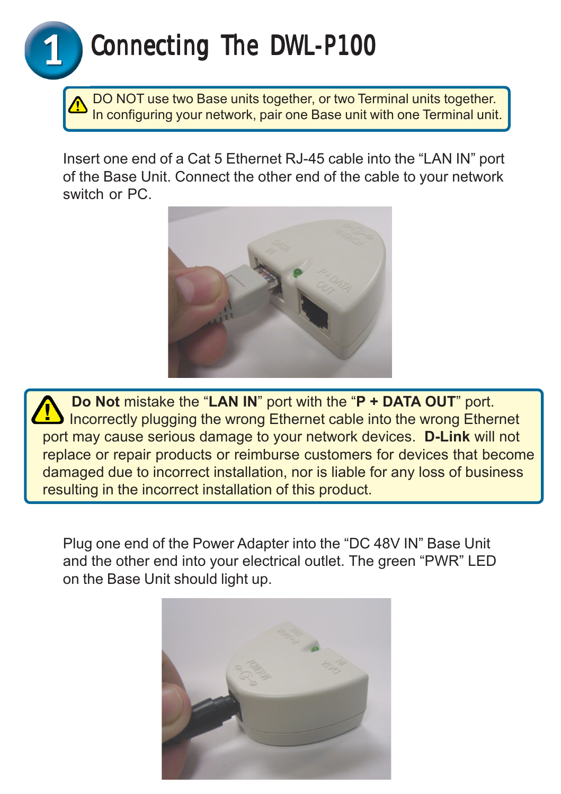### Connecting The DWL-P100

 DO NOT use two Base units together, or two Terminal units together. In configuring your network, pair one Base unit with one Terminal unit.

Insert one end of a Cat 5 Ethernet RJ-45 cable into the "LAN IN" port of the Base Unit. Connect the other end of the cable to your network switch or PC.



 **Do Not** mistake the "**LAN IN**" port with the "**P + DATA OUT**" port. Incorrectly plugging the wrong Ethernet cable into the wrong Ethernet port may cause serious damage to your network devices. **D-Link** will not replace or repair products or reimburse customers for devices that become damaged due to incorrect installation, nor is liable for any loss of business resulting in the incorrect installation of this product.

Plug one end of the Power Adapter into the "DC 48V IN" Base Unit and the other end into your electrical outlet. The green "PWR" LED on the Base Unit should light up.

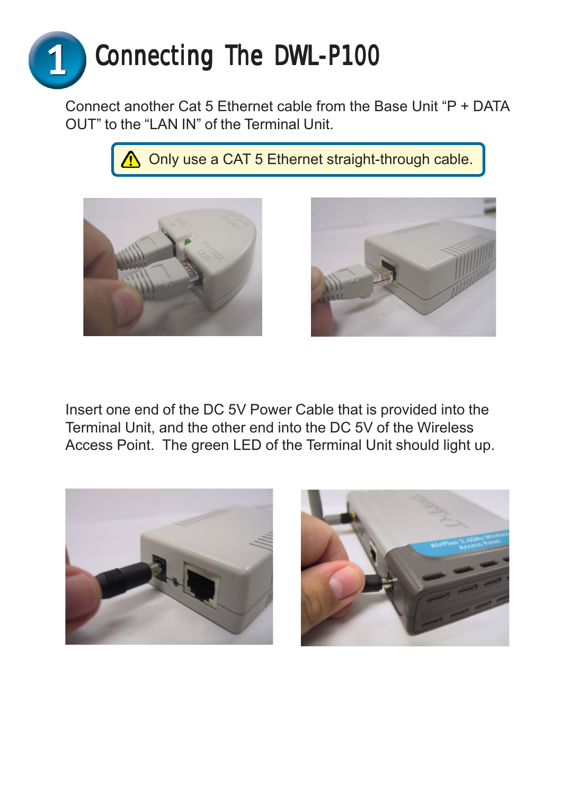

Connect another Cat 5 Ethernet cable from the Base Unit "P + DATA OUT" to the "LAN IN" of the Terminal Unit.

Only use a CAT 5 Ethernet straight-through cable.





Insert one end of the DC 5V Power Cable that is provided into the Terminal Unit, and the other end into the DC 5V of the Wireless Access Point. The green LED of the Terminal Unit should light up.



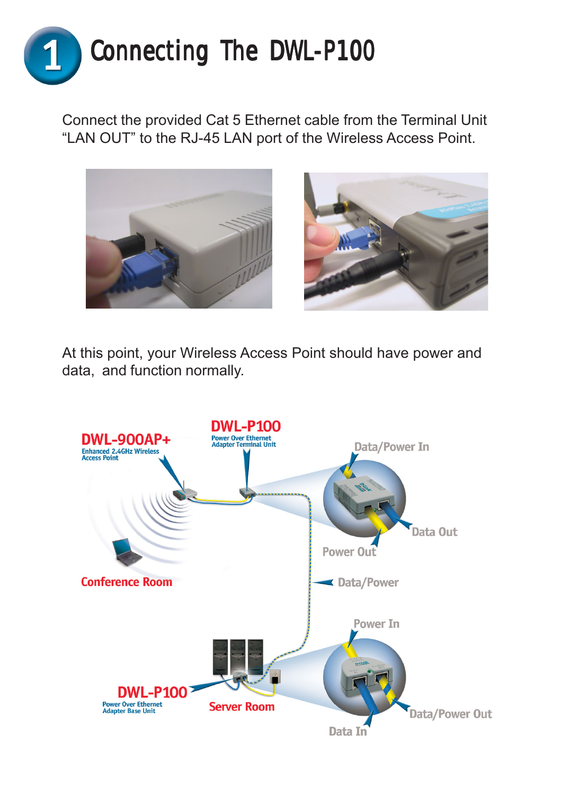

Connect the provided Cat 5 Ethernet cable from the Terminal Unit "LAN OUT" to the RJ-45 LAN port of the Wireless Access Point.





At this point, your Wireless Access Point should have power and data, and function normally.

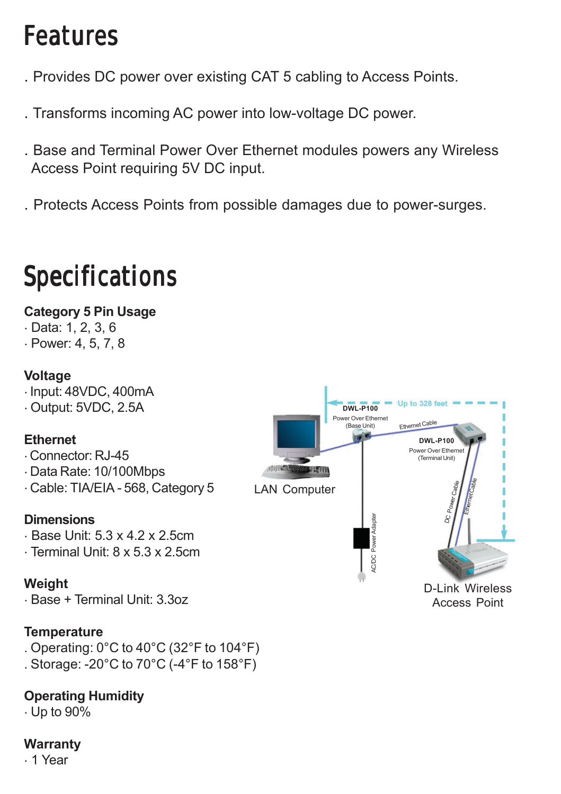### **Features**

- . Provides DC power over existing CAT 5 cabling to Access Points.
- . Transforms incoming AC power into low-voltage DC power.
- . Base and Terminal Power Over Ethernet modules powers any Wireless Access Point requiring 5V DC input.
- . Protects Access Points from possible damages due to power-surges.

## **Specifications**

#### **Category 5 Pin Usage**

- . Data: 1, 2, 3, 6
- . Power: 4, 5, 7, 8

#### **Voltage**

. Input: 48VDC, 400mA

. Output: 5VDC, 2.5A

#### **Ethernet**

. Connector: RJ-45

- . Data Rate: 10/100Mbps
- . Cable: TIA/EIA 568, Category 5

#### **Dimensions**

- $-Base$  Unit:  $5.3 \times 4.2 \times 2.5$ cm
- . Terminal Unit: 8 x 5.3 x 2.5cm

#### **Weight**

. Base + Terminal Unit: 3.3oz

#### **Temperature**

- . Operating: 0°C to 40°C (32°F to 104°F)
- . Storage: -20°C to 70°C (-4°F to 158°F)

#### **Operating Humidity**

. Up to 90%

#### **Warranty**

. 1 Year